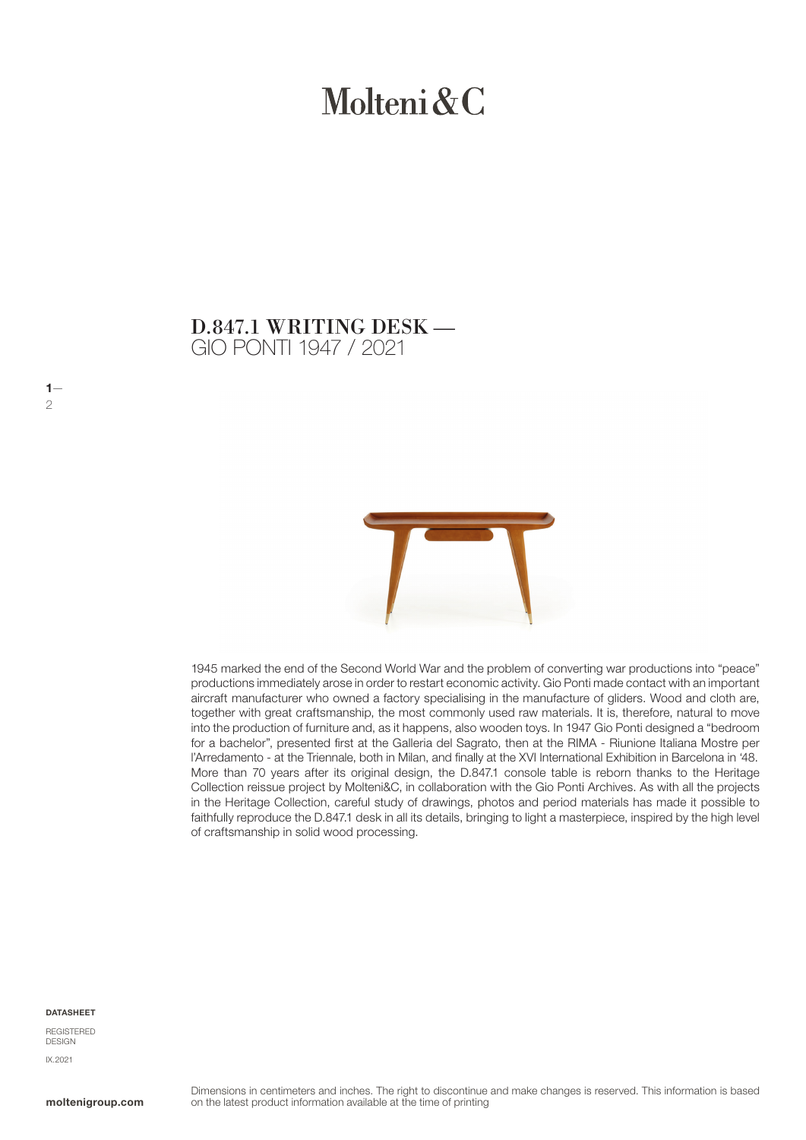# Molteni & C

### GIO PONTI 1947 / 2021 D.847.1 WRITING DESK —



1945 marked the end of the Second World War and the problem of converting war productions into "peace" productions immediately arose in order to restart economic activity. Gio Ponti made contact with an important aircraft manufacturer who owned a factory specialising in the manufacture of gliders. Wood and cloth are, together with great craftsmanship, the most commonly used raw materials. It is, therefore, natural to move into the production of furniture and, as it happens, also wooden toys. In 1947 Gio Ponti designed a "bedroom for a bachelor", presented first at the Galleria del Sagrato, then at the RIMA - Riunione Italiana Mostre per l'Arredamento - at the Triennale, both in Milan, and finally at the XVI International Exhibition in Barcelona in '48. More than 70 years after its original design, the D.847.1 console table is reborn thanks to the Heritage Collection reissue project by Molteni&C, in collaboration with the Gio Ponti Archives. As with all the projects in the Heritage Collection, careful study of drawings, photos and period materials has made it possible to faithfully reproduce the D.847.1 desk in all its details, bringing to light a masterpiece, inspired by the high level of craftsmanship in solid wood processing.

#### **DATASHEET**

 $1 \mathcal{P}$ 

REGISTERED DESIGN IX.2021

moltenigroup.com